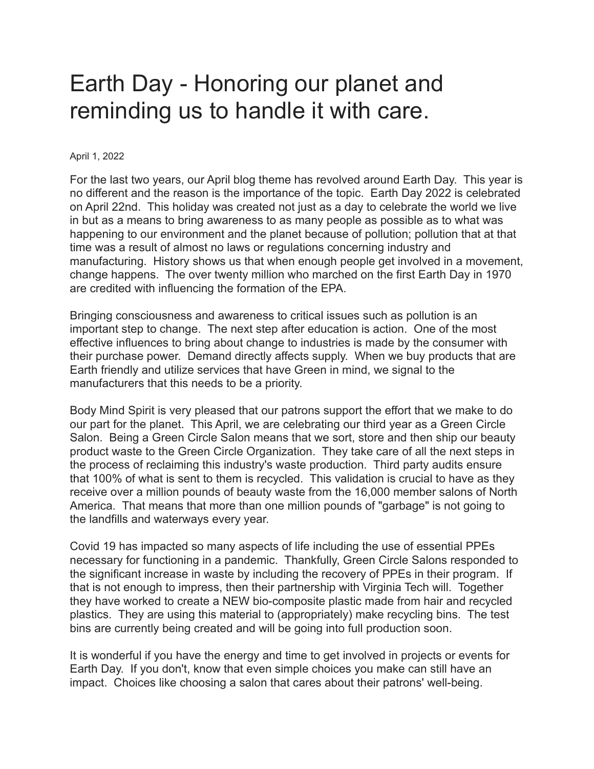## Earth Day - Honoring our planet and reminding us to handle it with care.

## April 1, 2022

For the last two years, our April blog theme has revolved around Earth Day. This year is no different and the reason is the importance of the topic. Earth Day 2022 is celebrated on April 22nd. This holiday was created not just as a day to celebrate the world we live in but as a means to bring awareness to as many people as possible as to what was happening to our environment and the planet because of pollution; pollution that at that time was a result of almost no laws or regulations concerning industry and manufacturing. History shows us that when enough people get involved in a movement, change happens. The over twenty million who marched on the first Earth Day in 1970 are credited with influencing the formation of the EPA.

Bringing consciousness and awareness to critical issues such as pollution is an important step to change. The next step after education is action. One of the most effective influences to bring about change to industries is made by the consumer with their purchase power. Demand directly affects supply. When we buy products that are Earth friendly and utilize services that have Green in mind, we signal to the manufacturers that this needs to be a priority.

Body Mind Spirit is very pleased that our patrons support the effort that we make to do our part for the planet. This April, we are celebrating our third year as a Green Circle Salon. Being a Green Circle Salon means that we sort, store and then ship our beauty product waste to the Green Circle Organization. They take care of all the next steps in the process of reclaiming this industry's waste production. Third party audits ensure that 100% of what is sent to them is recycled. This validation is crucial to have as they receive over a million pounds of beauty waste from the 16,000 member salons of North America. That means that more than one million pounds of "garbage" is not going to the landfills and waterways every year.

Covid 19 has impacted so many aspects of life including the use of essential PPEs necessary for functioning in a pandemic. Thankfully, Green Circle Salons responded to the significant increase in waste by including the recovery of PPEs in their program. If that is not enough to impress, then their partnership with Virginia Tech will. Together they have worked to create a NEW bio-composite plastic made from hair and recycled plastics. They are using this material to (appropriately) make recycling bins. The test bins are currently being created and will be going into full production soon.

It is wonderful if you have the energy and time to get involved in projects or events for Earth Day. If you don't, know that even simple choices you make can still have an impact. Choices like choosing a salon that cares about their patrons' well-being.